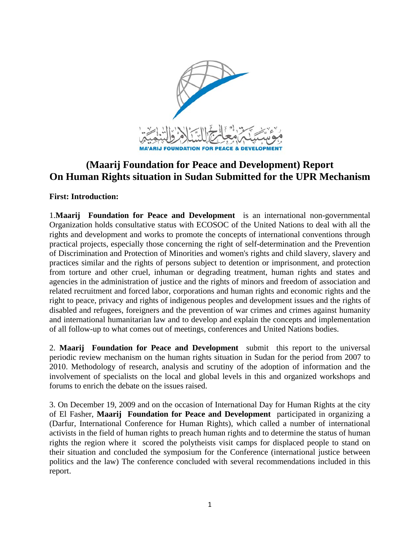

# **(Maarij Foundation for Peace and Development) Report On Human Rights situation in Sudan Submitted for the UPR Mechanism**

**First: Introduction:** 

1.**Maarij Foundation for Peace and Development** is an international non-governmental Organization holds consultative status with ECOSOC of the United Nations to deal with all the rights and development and works to promote the concepts of international conventions through practical projects, especially those concerning the right of self-determination and the Prevention of Discrimination and Protection of Minorities and women's rights and child slavery, slavery and practices similar and the rights of persons subject to detention or imprisonment, and protection from torture and other cruel, inhuman or degrading treatment, human rights and states and agencies in the administration of justice and the rights of minors and freedom of association and related recruitment and forced labor, corporations and human rights and economic rights and the right to peace, privacy and rights of indigenous peoples and development issues and the rights of disabled and refugees, foreigners and the prevention of war crimes and crimes against humanity and international humanitarian law and to develop and explain the concepts and implementation of all follow-up to what comes out of meetings, conferences and United Nations bodies.

2. **Maarij Foundation for Peace and Development** submit this report to the universal periodic review mechanism on the human rights situation in Sudan for the period from 2007 to 2010. Methodology of research, analysis and scrutiny of the adoption of information and the involvement of specialists on the local and global levels in this and organized workshops and forums to enrich the debate on the issues raised.

3. On December 19, 2009 and on the occasion of International Day for Human Rights at the city of El Fasher, **Maarij Foundation for Peace and Development** participated in organizing a (Darfur, International Conference for Human Rights), which called a number of international activists in the field of human rights to preach human rights and to determine the status of human rights the region where it scored the polytheists visit camps for displaced people to stand on their situation and concluded the symposium for the Conference (international justice between politics and the law) The conference concluded with several recommendations included in this report.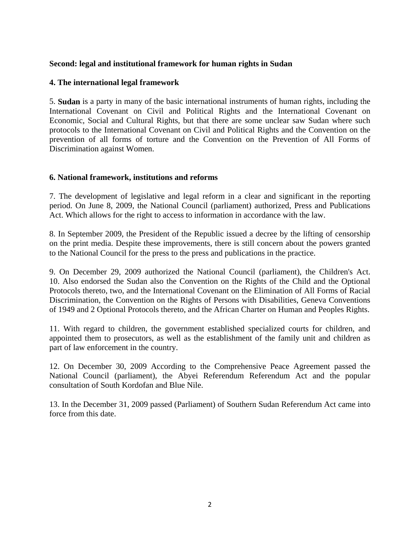## **Second: legal and institutional framework for human rights in Sudan**

### **4. The international legal framework**

5. **Sudan** is a party in many of the basic international instruments of human rights, including the International Covenant on Civil and Political Rights and the International Covenant on Economic, Social and Cultural Rights, but that there are some unclear saw Sudan where such protocols to the International Covenant on Civil and Political Rights and the Convention on the prevention of all forms of torture and the Convention on the Prevention of All Forms of Discrimination against Women.

#### **6. National framework, institutions and reforms**

7. The development of legislative and legal reform in a clear and significant in the reporting period. On June 8, 2009, the National Council (parliament) authorized, Press and Publications Act. Which allows for the right to access to information in accordance with the law.

8. In September 2009, the President of the Republic issued a decree by the lifting of censorship on the print media. Despite these improvements, there is still concern about the powers granted to the National Council for the press to the press and publications in the practice.

9. On December 29, 2009 authorized the National Council (parliament), the Children's Act. 10. Also endorsed the Sudan also the Convention on the Rights of the Child and the Optional Protocols thereto, two, and the International Covenant on the Elimination of All Forms of Racial Discrimination, the Convention on the Rights of Persons with Disabilities, Geneva Conventions of 1949 and 2 Optional Protocols thereto, and the African Charter on Human and Peoples Rights.

11. With regard to children, the government established specialized courts for children, and appointed them to prosecutors, as well as the establishment of the family unit and children as part of law enforcement in the country.

12. On December 30, 2009 According to the Comprehensive Peace Agreement passed the National Council (parliament), the Abyei Referendum Referendum Act and the popular consultation of South Kordofan and Blue Nile.

13. In the December 31, 2009 passed (Parliament) of Southern Sudan Referendum Act came into force from this date.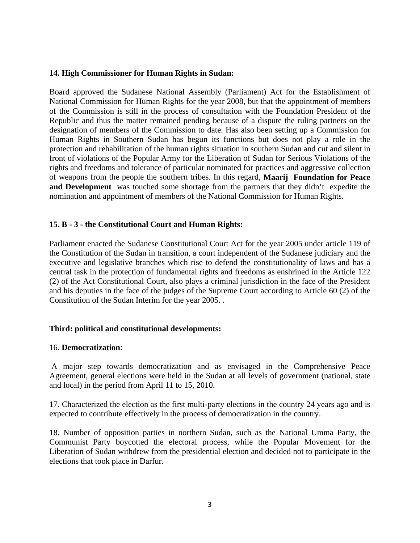#### **14. High Commissioner for Human Rights in Sudan:**

Board approved the Sudanese National Assembly (Parliament) Act for the Establishment of National Commission for Human Rights for the year 2008, but that the appointment of members of the Commission is still in the process of consultation with the Foundation President of the Republic and thus the matter remained pending because of a dispute the ruling partners on the designation of members of the Commission to date. Has also been setting up a Commission for Human Rights in Southern Sudan has begun its functions but does not play a role in the protection and rehabilitation of the human rights situation in southern Sudan and cut and silent in front of violations of the Popular Army for the Liberation of Sudan for Serious Violations of the rights and freedoms and tolerance of particular nominated for practices and aggressive collection of weapons from the people the southern tribes. In this regard, **Maarij Foundation for Peace and Development** was touched some shortage from the partners that they didn't expedite the nomination and appointment of members of the National Commission for Human Rights.

#### **15. B - 3 - the Constitutional Court and Human Rights:**

Parliament enacted the Sudanese Constitutional Court Act for the year 2005 under article 119 of the Constitution of the Sudan in transition, a court independent of the Sudanese judiciary and the executive and legislative branches which rise to defend the constitutionality of laws and has a central task in the protection of fundamental rights and freedoms as enshrined in the Article 122 (2) of the Act Constitutional Court, also plays a criminal jurisdiction in the face of the President and his deputies in the face of the judges of the Supreme Court according to Article 60 (2) of the Constitution of the Sudan Interim for the year 2005. .

#### **Third: political and constitutional developments:**

#### 16. **Democratization**:

 A major step towards democratization and as envisaged in the Comprehensive Peace Agreement, general elections were held in the Sudan at all levels of government (national, state and local) in the period from April 11 to 15, 2010.

17. Characterized the election as the first multi-party elections in the country 24 years ago and is expected to contribute effectively in the process of democratization in the country.

18. Number of opposition parties in northern Sudan, such as the National Umma Party, the Communist Party boycotted the electoral process, while the Popular Movement for the Liberation of Sudan withdrew from the presidential election and decided not to participate in the elections that took place in Darfur.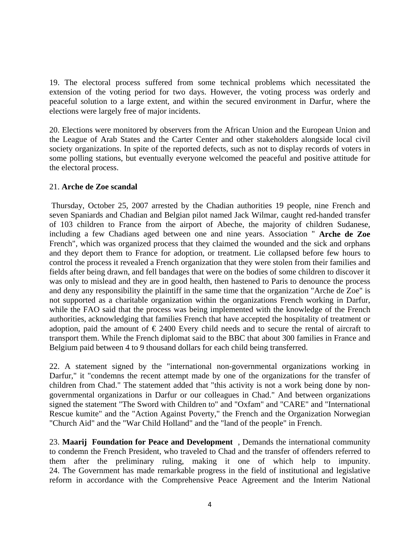19. The electoral process suffered from some technical problems which necessitated the extension of the voting period for two days. However, the voting process was orderly and peaceful solution to a large extent, and within the secured environment in Darfur, where the elections were largely free of major incidents.

20. Elections were monitored by observers from the African Union and the European Union and the League of Arab States and the Carter Center and other stakeholders alongside local civil society organizations. In spite of the reported defects, such as not to display records of voters in some polling stations, but eventually everyone welcomed the peaceful and positive attitude for the electoral process.

## 21. **Arche de Zoe scandal**

 Thursday, October 25, 2007 arrested by the Chadian authorities 19 people, nine French and seven Spaniards and Chadian and Belgian pilot named Jack Wilmar, caught red-handed transfer of 103 children to France from the airport of Abeche, the majority of children Sudanese, including a few Chadians aged between one and nine years. Association " **Arche de Zoe**  French", which was organized process that they claimed the wounded and the sick and orphans and they deport them to France for adoption, or treatment. Lie collapsed before few hours to control the process it revealed a French organization that they were stolen from their families and fields after being drawn, and fell bandages that were on the bodies of some children to discover it was only to mislead and they are in good health, then hastened to Paris to denounce the process and deny any responsibility the plaintiff in the same time that the organization "Arche de Zoe" is not supported as a charitable organization within the organizations French working in Darfur, while the FAO said that the process was being implemented with the knowledge of the French authorities, acknowledging that families French that have accepted the hospitality of treatment or adoption, paid the amount of  $\epsilon$  2400 Every child needs and to secure the rental of aircraft to transport them. While the French diplomat said to the BBC that about 300 families in France and Belgium paid between 4 to 9 thousand dollars for each child being transferred.

22. A statement signed by the "international non-governmental organizations working in Darfur," it "condemns the recent attempt made by one of the organizations for the transfer of children from Chad." The statement added that "this activity is not a work being done by nongovernmental organizations in Darfur or our colleagues in Chad." And between organizations signed the statement "The Sword with Children to" and "Oxfam" and "CARE" and "International Rescue kumite" and the "Action Against Poverty," the French and the Organization Norwegian "Church Aid" and the "War Child Holland" and the "land of the people" in French.

23. **Maarij Foundation for Peace and Development** , Demands the international community to condemn the French President, who traveled to Chad and the transfer of offenders referred to them after the preliminary ruling, making it one of which help to impunity. 24. The Government has made remarkable progress in the field of institutional and legislative reform in accordance with the Comprehensive Peace Agreement and the Interim National